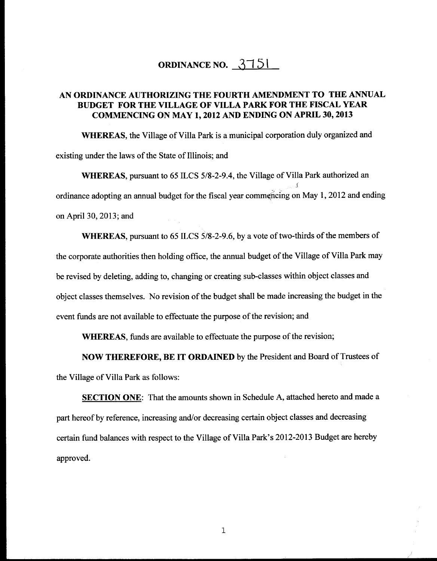# **ORDINANCE NO.** <u>**3751**</u>

## **AN ORDINANCE AUTHORIZING THE FOURTH AMENDMENT TO THE ANNUAL BUDGET FOR THE VILLAGE OF VILLA PARK FOR THE FISCAL YEAR COMMENCING ON MAY 1, 2012 AND ENDING ON APRIL 30, 2013**

**WHEREAS,** the Village of Villa Park is a municipal corporation duly organized and existing under the laws of the State of Illinois; and

**WHEREAS,** pursuant to 65 ILCS 5/8-2-9.4, the Village of Villa Park authorized an .l ordinance adopting an annual budget for the fiscal year commencing on May 1, 2012 and ending on April 30, 2013; and

**WHEREAS,** pursuant to 65 ILCS 5/8-2-9.6, by a vote of two-thirds of the members of the corporate authorities then holding office, the annual budget of the Village of Villa Park may be revised by deleting, adding to, changing or creating sub-classes within object classes and object classes themselves. No revision of the budget shall be made increasing the budget in the event funds are not available to effectuate the purpose of the revision; and

**WHEREAS,** funds are available to effectuate the purpose of the revision;

**NOW THEREFORE, BE IT ORDAINED** by the President and Board of Trustees of the Village of Villa Park as follows:

**SECTION ONE:** That the amounts shown in Schedule A, attached hereto and made a part hereof by reference, increasing and/or decreasing certain object classes and decreasing certain fund balances with respect to the Village of Villa Park's 2012-2013 Budget are hereby approved.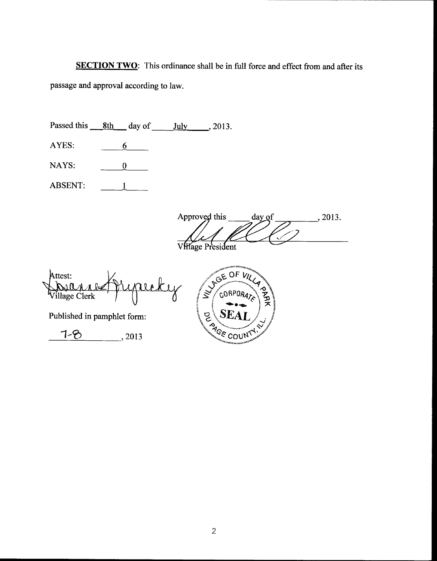**SECTION TWO:** This ordinance shall be in full force and effect from and after its passage and approval according to law.

|                         | Passed this 8th day of      | July<br>, 2013.                                       |
|-------------------------|-----------------------------|-------------------------------------------------------|
| AYES:                   | 6                           |                                                       |
| NAYS:                   | 0                           |                                                       |
| <b>ABSENT:</b>          |                             |                                                       |
|                         |                             | Approved this<br>day of<br>, 2013.<br>VHage President |
| Attest:<br>illage Clerk | ADA                         | $G_{E}O$<br>$\breve{\varkappa}$<br>CORPOR             |
|                         | Published in pamphlet form: | R B LOOUN                                             |
|                         | , 2013                      |                                                       |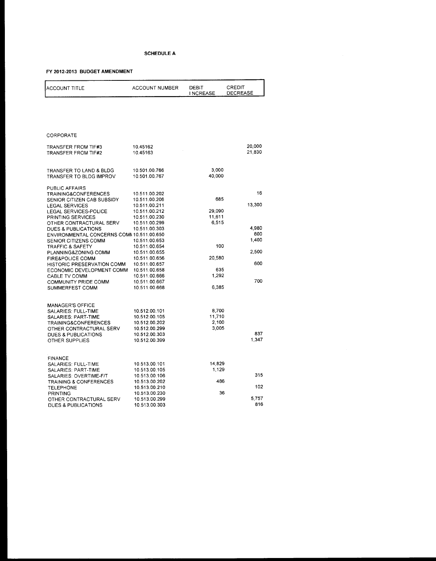| ACCOUNT TITLE                                               | <b>ACCOUNT NUMBER</b>          | DEBIT<br><b>INCREASE</b> | CREDIT<br>DECREASE |
|-------------------------------------------------------------|--------------------------------|--------------------------|--------------------|
|                                                             |                                |                          |                    |
|                                                             |                                |                          |                    |
| CORPORATE                                                   |                                |                          |                    |
| <b>TRANSFER FROM TIF#3</b><br><b>TRANSFER FROM TIF#2</b>    | 10.45162<br>10.45163           |                          | 20,000<br>21,830   |
|                                                             |                                |                          |                    |
| TRANSFER TO LAND & BLDG                                     | 10.501.00.766                  | 3,000                    |                    |
| TRANSFER TO BLDG IMPROV                                     | 10.501.00.767                  | 40,000                   |                    |
| PUBLIC AFFAIRS<br><b>TRAINING&amp;CONFERENCES</b>           | 10.511.00.202                  |                          | 16                 |
| SENIOR CITIZEN CAB SUBSIDY                                  | 10.511.00.206                  | 685                      |                    |
| <b>LEGAL SERVICES</b>                                       | 10.511.00.211                  |                          | 13,300             |
| LEGAL SERVICES-POLICE<br>PRINTING SERVICES                  | 10.511.00.212<br>10.511.00.230 | 29,090<br>11,611         |                    |
| OTHER CONTRACTURAL SERV                                     | 10.511.00.299                  | 6,515                    |                    |
| <b>DUES &amp; PUBLICATIONS</b>                              | 10.511.00.303                  |                          | 4.980              |
| ENVIRONMENTAL CONCERNS COMM 10.511.00.650                   |                                |                          | 800                |
| SENIOR CITIZENS COMM                                        | 10.511.00.653                  |                          | 1,400              |
| TRAFFIC & SAFETY                                            | 10.511.00.654                  | 100                      |                    |
| PLANNING&ZONING COMM                                        | 10.511.00.655                  |                          | 2,500              |
| <b>FIRE&amp;POLICE COMM</b>                                 | 10.511.00.656                  | 20,580                   |                    |
| HISTORIC PRESERVATION COMM                                  | 10.511.00.657                  |                          | 600                |
| ECONOMIC DEVELOPMENT COMM                                   | 10.511.00.658                  | 635<br>1,292             |                    |
| CABLE TV COMM                                               | 10.511.00.666<br>10.511.00.667 |                          | 700                |
| COMMUNITY PRIDE COMM<br>SUMMERFEST COMM                     | 10.511.00.668                  | 6,385                    |                    |
|                                                             |                                |                          |                    |
| <b>MANAGER'S OFFICE</b>                                     |                                |                          |                    |
| SALARIES: FULL-TIME                                         | 10.512.00.101                  | 8,700                    |                    |
| <b>SALARIES: PART-TIME</b>                                  | 10.512.00.105                  | 11,710                   |                    |
| <b>TRAINING&amp;CONFERENCES</b>                             | 10.512.00.202                  | 2,100<br>3,005           |                    |
| OTHER CONTRACTURAL SERV<br>DUES & PUBLICATIONS              | 10.512.00.299<br>10.512.00.303 |                          | 837                |
| OTHER SUPPLIES                                              | 10.512.00.399                  |                          | 1,347              |
|                                                             |                                |                          |                    |
| <b>FINANCE</b>                                              |                                |                          |                    |
| SALARIES: FULL-TIME                                         | 10.513.00.101                  | 14,829                   |                    |
| SALARIES: PART-TIME                                         | 10.513.00.105                  | 1,129                    | 315                |
| SALARIES: OVERTIME-F/T<br><b>TRAINING &amp; CONFERENCES</b> | 10.513.00.106<br>10.513.00.202 | 486                      |                    |
| TELEPHONE                                                   | 10.513.00.210                  |                          | 102                |
| <b>PRINTING</b>                                             | 10.513.00.230                  | 36                       |                    |
| OTHER CONTRACTURAL SERV                                     | 10.513.00.299                  |                          | 5.757              |
| <b>DUES &amp; PUBLICATIONS</b>                              | 10.513.00.303                  |                          | 816                |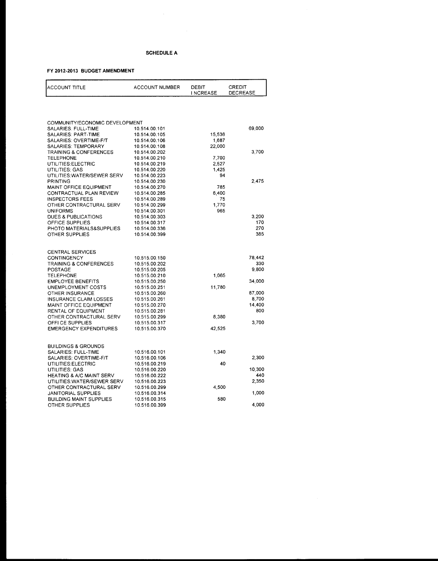| COMMUNITY/ECONOMIC DEVELOPMENT<br>69,000<br>SALARIES: FULL-TIME<br>10.514.00.101<br>SALARIES: PART-TIME<br>15,536<br>10.514.00.105<br>SALARIES: OVERTIME-F/T<br>10.514.00.106<br>1,687<br>SALARIES: TEMPORARY<br>10.514.00.108<br>22,000<br>3,700<br>TRAINING & CONFERENCES<br>10.514.00.202<br><b>TELEPHONE</b><br>10.514.00.210<br>7,700<br>UTILITIES:ELECTRIC<br>10.514.00.219<br>2,527<br>1,425<br>UTILITIES: GAS<br>10.514.00.220<br>UTILITIES: WATER/SEWER SERV<br>94<br>10.514.00.223<br>2,475<br>PRINTING<br>10.514,00.230<br>MAINT OFFICE EQUIPMENT<br>785<br>10.514.00.270<br>CONTRACTUAL PLAN REVIEW<br>6,400<br>10.514.00.285<br><b>INSPECTORS FEES</b><br>10.514.00.289<br>75<br>OTHER CONTRACTURAL SERV<br>1,770<br>10.514.00.299<br><b>UNIFORMS</b><br>965<br>10.514.00.301<br>3.200<br>DUES & PUBLICATIONS<br>10.514.00.303<br>170<br>OFFICE SUPPLIES<br>10.514.00.317<br>270<br>PHOTO MATERIALS&SUPPLIES<br>10.514.00.336<br>385<br>OTHER SUPPLIES<br>10.514.00.399<br><b>CENTRAL SERVICES</b><br>78,442<br>CONTINGENCY<br>10.515.00.150<br>330<br><b>TRAINING &amp; CONFERENCES</b><br>10.515.00.202<br>9,800<br><b>POSTAGE</b><br>10.515.00.205<br>1,065<br><b>TELEPHONE</b><br>10.515.00.210<br><b>EMPLOYEE BENEFITS</b><br>34,000<br>10.515.00.250<br>UNEMPLOYMENT COSTS<br>10.515.00.251<br>11,780<br>87,000<br>OTHER INSURANCE<br>10.515.00.260<br>8,700<br>INSURANCE CLAIM LOSSES<br>10.515.00.261<br>14,400<br>MAINT OFFICE EQUIPMENT<br>10.515.00.270<br>800<br>RENTAL OF EQUIPMENT<br>10.515.00.281<br>OTHER CONTRACTURAL SERV<br>10.515.00.299<br>8,380<br>OFFI CE SUPPLIES<br>3,700<br>10.515.00.317<br><b>EMERGENCY EXPENDITURES</b><br>10.515.00.370<br>42,525<br><b>BUILDINGS &amp; GROUNDS</b><br>SALARIES: FULL-TIME<br>10.516.00.101<br>1,340<br>SALARIES: OVERTIME-F/T<br>10.516.00.106<br>2,300<br>UTILITIES:ELECTRIC<br>10.516.00.219<br>40<br>UTILITIES: GAS<br>10,300<br>10.516.00.220<br>440<br><b>HEATING &amp; A/C MAINT SERV</b><br>10.516.00.222<br>2,350<br>UTILITIES: WATER/SEWER SERV<br>10.516.00.223<br>OTHER CONTRACTURAL SERV<br>10.516.00.299<br>4,500<br>1,000<br><b>JANITORIAL SUPPLIES</b><br>10.516.00.314<br><b>BUILDING MAINT SUPPLIES</b><br>580<br>10.516.00.315 | ACCOUNT TITLE | <b>ACCOUNT NUMBER</b> | DEBIT<br><b>INCREASE</b> | CREDIT<br>DECREASE |
|-------------------------------------------------------------------------------------------------------------------------------------------------------------------------------------------------------------------------------------------------------------------------------------------------------------------------------------------------------------------------------------------------------------------------------------------------------------------------------------------------------------------------------------------------------------------------------------------------------------------------------------------------------------------------------------------------------------------------------------------------------------------------------------------------------------------------------------------------------------------------------------------------------------------------------------------------------------------------------------------------------------------------------------------------------------------------------------------------------------------------------------------------------------------------------------------------------------------------------------------------------------------------------------------------------------------------------------------------------------------------------------------------------------------------------------------------------------------------------------------------------------------------------------------------------------------------------------------------------------------------------------------------------------------------------------------------------------------------------------------------------------------------------------------------------------------------------------------------------------------------------------------------------------------------------------------------------------------------------------------------------------------------------------------------------------------------------------------------------------------------------------------------------------------------------------------------------------------------------|---------------|-----------------------|--------------------------|--------------------|
|                                                                                                                                                                                                                                                                                                                                                                                                                                                                                                                                                                                                                                                                                                                                                                                                                                                                                                                                                                                                                                                                                                                                                                                                                                                                                                                                                                                                                                                                                                                                                                                                                                                                                                                                                                                                                                                                                                                                                                                                                                                                                                                                                                                                                               |               |                       |                          |                    |
|                                                                                                                                                                                                                                                                                                                                                                                                                                                                                                                                                                                                                                                                                                                                                                                                                                                                                                                                                                                                                                                                                                                                                                                                                                                                                                                                                                                                                                                                                                                                                                                                                                                                                                                                                                                                                                                                                                                                                                                                                                                                                                                                                                                                                               |               |                       |                          |                    |
|                                                                                                                                                                                                                                                                                                                                                                                                                                                                                                                                                                                                                                                                                                                                                                                                                                                                                                                                                                                                                                                                                                                                                                                                                                                                                                                                                                                                                                                                                                                                                                                                                                                                                                                                                                                                                                                                                                                                                                                                                                                                                                                                                                                                                               |               |                       |                          |                    |
|                                                                                                                                                                                                                                                                                                                                                                                                                                                                                                                                                                                                                                                                                                                                                                                                                                                                                                                                                                                                                                                                                                                                                                                                                                                                                                                                                                                                                                                                                                                                                                                                                                                                                                                                                                                                                                                                                                                                                                                                                                                                                                                                                                                                                               |               |                       |                          |                    |
|                                                                                                                                                                                                                                                                                                                                                                                                                                                                                                                                                                                                                                                                                                                                                                                                                                                                                                                                                                                                                                                                                                                                                                                                                                                                                                                                                                                                                                                                                                                                                                                                                                                                                                                                                                                                                                                                                                                                                                                                                                                                                                                                                                                                                               |               |                       |                          |                    |
|                                                                                                                                                                                                                                                                                                                                                                                                                                                                                                                                                                                                                                                                                                                                                                                                                                                                                                                                                                                                                                                                                                                                                                                                                                                                                                                                                                                                                                                                                                                                                                                                                                                                                                                                                                                                                                                                                                                                                                                                                                                                                                                                                                                                                               |               |                       |                          |                    |
|                                                                                                                                                                                                                                                                                                                                                                                                                                                                                                                                                                                                                                                                                                                                                                                                                                                                                                                                                                                                                                                                                                                                                                                                                                                                                                                                                                                                                                                                                                                                                                                                                                                                                                                                                                                                                                                                                                                                                                                                                                                                                                                                                                                                                               |               |                       |                          |                    |
|                                                                                                                                                                                                                                                                                                                                                                                                                                                                                                                                                                                                                                                                                                                                                                                                                                                                                                                                                                                                                                                                                                                                                                                                                                                                                                                                                                                                                                                                                                                                                                                                                                                                                                                                                                                                                                                                                                                                                                                                                                                                                                                                                                                                                               |               |                       |                          |                    |
|                                                                                                                                                                                                                                                                                                                                                                                                                                                                                                                                                                                                                                                                                                                                                                                                                                                                                                                                                                                                                                                                                                                                                                                                                                                                                                                                                                                                                                                                                                                                                                                                                                                                                                                                                                                                                                                                                                                                                                                                                                                                                                                                                                                                                               |               |                       |                          |                    |
|                                                                                                                                                                                                                                                                                                                                                                                                                                                                                                                                                                                                                                                                                                                                                                                                                                                                                                                                                                                                                                                                                                                                                                                                                                                                                                                                                                                                                                                                                                                                                                                                                                                                                                                                                                                                                                                                                                                                                                                                                                                                                                                                                                                                                               |               |                       |                          |                    |
|                                                                                                                                                                                                                                                                                                                                                                                                                                                                                                                                                                                                                                                                                                                                                                                                                                                                                                                                                                                                                                                                                                                                                                                                                                                                                                                                                                                                                                                                                                                                                                                                                                                                                                                                                                                                                                                                                                                                                                                                                                                                                                                                                                                                                               |               |                       |                          |                    |
|                                                                                                                                                                                                                                                                                                                                                                                                                                                                                                                                                                                                                                                                                                                                                                                                                                                                                                                                                                                                                                                                                                                                                                                                                                                                                                                                                                                                                                                                                                                                                                                                                                                                                                                                                                                                                                                                                                                                                                                                                                                                                                                                                                                                                               |               |                       |                          |                    |
|                                                                                                                                                                                                                                                                                                                                                                                                                                                                                                                                                                                                                                                                                                                                                                                                                                                                                                                                                                                                                                                                                                                                                                                                                                                                                                                                                                                                                                                                                                                                                                                                                                                                                                                                                                                                                                                                                                                                                                                                                                                                                                                                                                                                                               |               |                       |                          |                    |
|                                                                                                                                                                                                                                                                                                                                                                                                                                                                                                                                                                                                                                                                                                                                                                                                                                                                                                                                                                                                                                                                                                                                                                                                                                                                                                                                                                                                                                                                                                                                                                                                                                                                                                                                                                                                                                                                                                                                                                                                                                                                                                                                                                                                                               |               |                       |                          |                    |
|                                                                                                                                                                                                                                                                                                                                                                                                                                                                                                                                                                                                                                                                                                                                                                                                                                                                                                                                                                                                                                                                                                                                                                                                                                                                                                                                                                                                                                                                                                                                                                                                                                                                                                                                                                                                                                                                                                                                                                                                                                                                                                                                                                                                                               |               |                       |                          |                    |
|                                                                                                                                                                                                                                                                                                                                                                                                                                                                                                                                                                                                                                                                                                                                                                                                                                                                                                                                                                                                                                                                                                                                                                                                                                                                                                                                                                                                                                                                                                                                                                                                                                                                                                                                                                                                                                                                                                                                                                                                                                                                                                                                                                                                                               |               |                       |                          |                    |
|                                                                                                                                                                                                                                                                                                                                                                                                                                                                                                                                                                                                                                                                                                                                                                                                                                                                                                                                                                                                                                                                                                                                                                                                                                                                                                                                                                                                                                                                                                                                                                                                                                                                                                                                                                                                                                                                                                                                                                                                                                                                                                                                                                                                                               |               |                       |                          |                    |
|                                                                                                                                                                                                                                                                                                                                                                                                                                                                                                                                                                                                                                                                                                                                                                                                                                                                                                                                                                                                                                                                                                                                                                                                                                                                                                                                                                                                                                                                                                                                                                                                                                                                                                                                                                                                                                                                                                                                                                                                                                                                                                                                                                                                                               |               |                       |                          |                    |
|                                                                                                                                                                                                                                                                                                                                                                                                                                                                                                                                                                                                                                                                                                                                                                                                                                                                                                                                                                                                                                                                                                                                                                                                                                                                                                                                                                                                                                                                                                                                                                                                                                                                                                                                                                                                                                                                                                                                                                                                                                                                                                                                                                                                                               |               |                       |                          |                    |
|                                                                                                                                                                                                                                                                                                                                                                                                                                                                                                                                                                                                                                                                                                                                                                                                                                                                                                                                                                                                                                                                                                                                                                                                                                                                                                                                                                                                                                                                                                                                                                                                                                                                                                                                                                                                                                                                                                                                                                                                                                                                                                                                                                                                                               |               |                       |                          |                    |
|                                                                                                                                                                                                                                                                                                                                                                                                                                                                                                                                                                                                                                                                                                                                                                                                                                                                                                                                                                                                                                                                                                                                                                                                                                                                                                                                                                                                                                                                                                                                                                                                                                                                                                                                                                                                                                                                                                                                                                                                                                                                                                                                                                                                                               |               |                       |                          |                    |
|                                                                                                                                                                                                                                                                                                                                                                                                                                                                                                                                                                                                                                                                                                                                                                                                                                                                                                                                                                                                                                                                                                                                                                                                                                                                                                                                                                                                                                                                                                                                                                                                                                                                                                                                                                                                                                                                                                                                                                                                                                                                                                                                                                                                                               |               |                       |                          |                    |
|                                                                                                                                                                                                                                                                                                                                                                                                                                                                                                                                                                                                                                                                                                                                                                                                                                                                                                                                                                                                                                                                                                                                                                                                                                                                                                                                                                                                                                                                                                                                                                                                                                                                                                                                                                                                                                                                                                                                                                                                                                                                                                                                                                                                                               |               |                       |                          |                    |
|                                                                                                                                                                                                                                                                                                                                                                                                                                                                                                                                                                                                                                                                                                                                                                                                                                                                                                                                                                                                                                                                                                                                                                                                                                                                                                                                                                                                                                                                                                                                                                                                                                                                                                                                                                                                                                                                                                                                                                                                                                                                                                                                                                                                                               |               |                       |                          |                    |
|                                                                                                                                                                                                                                                                                                                                                                                                                                                                                                                                                                                                                                                                                                                                                                                                                                                                                                                                                                                                                                                                                                                                                                                                                                                                                                                                                                                                                                                                                                                                                                                                                                                                                                                                                                                                                                                                                                                                                                                                                                                                                                                                                                                                                               |               |                       |                          |                    |
|                                                                                                                                                                                                                                                                                                                                                                                                                                                                                                                                                                                                                                                                                                                                                                                                                                                                                                                                                                                                                                                                                                                                                                                                                                                                                                                                                                                                                                                                                                                                                                                                                                                                                                                                                                                                                                                                                                                                                                                                                                                                                                                                                                                                                               |               |                       |                          |                    |
|                                                                                                                                                                                                                                                                                                                                                                                                                                                                                                                                                                                                                                                                                                                                                                                                                                                                                                                                                                                                                                                                                                                                                                                                                                                                                                                                                                                                                                                                                                                                                                                                                                                                                                                                                                                                                                                                                                                                                                                                                                                                                                                                                                                                                               |               |                       |                          |                    |
|                                                                                                                                                                                                                                                                                                                                                                                                                                                                                                                                                                                                                                                                                                                                                                                                                                                                                                                                                                                                                                                                                                                                                                                                                                                                                                                                                                                                                                                                                                                                                                                                                                                                                                                                                                                                                                                                                                                                                                                                                                                                                                                                                                                                                               |               |                       |                          |                    |
|                                                                                                                                                                                                                                                                                                                                                                                                                                                                                                                                                                                                                                                                                                                                                                                                                                                                                                                                                                                                                                                                                                                                                                                                                                                                                                                                                                                                                                                                                                                                                                                                                                                                                                                                                                                                                                                                                                                                                                                                                                                                                                                                                                                                                               |               |                       |                          |                    |
|                                                                                                                                                                                                                                                                                                                                                                                                                                                                                                                                                                                                                                                                                                                                                                                                                                                                                                                                                                                                                                                                                                                                                                                                                                                                                                                                                                                                                                                                                                                                                                                                                                                                                                                                                                                                                                                                                                                                                                                                                                                                                                                                                                                                                               |               |                       |                          |                    |
|                                                                                                                                                                                                                                                                                                                                                                                                                                                                                                                                                                                                                                                                                                                                                                                                                                                                                                                                                                                                                                                                                                                                                                                                                                                                                                                                                                                                                                                                                                                                                                                                                                                                                                                                                                                                                                                                                                                                                                                                                                                                                                                                                                                                                               |               |                       |                          |                    |
|                                                                                                                                                                                                                                                                                                                                                                                                                                                                                                                                                                                                                                                                                                                                                                                                                                                                                                                                                                                                                                                                                                                                                                                                                                                                                                                                                                                                                                                                                                                                                                                                                                                                                                                                                                                                                                                                                                                                                                                                                                                                                                                                                                                                                               |               |                       |                          |                    |
|                                                                                                                                                                                                                                                                                                                                                                                                                                                                                                                                                                                                                                                                                                                                                                                                                                                                                                                                                                                                                                                                                                                                                                                                                                                                                                                                                                                                                                                                                                                                                                                                                                                                                                                                                                                                                                                                                                                                                                                                                                                                                                                                                                                                                               |               |                       |                          |                    |
|                                                                                                                                                                                                                                                                                                                                                                                                                                                                                                                                                                                                                                                                                                                                                                                                                                                                                                                                                                                                                                                                                                                                                                                                                                                                                                                                                                                                                                                                                                                                                                                                                                                                                                                                                                                                                                                                                                                                                                                                                                                                                                                                                                                                                               |               |                       |                          |                    |
|                                                                                                                                                                                                                                                                                                                                                                                                                                                                                                                                                                                                                                                                                                                                                                                                                                                                                                                                                                                                                                                                                                                                                                                                                                                                                                                                                                                                                                                                                                                                                                                                                                                                                                                                                                                                                                                                                                                                                                                                                                                                                                                                                                                                                               |               |                       |                          |                    |
|                                                                                                                                                                                                                                                                                                                                                                                                                                                                                                                                                                                                                                                                                                                                                                                                                                                                                                                                                                                                                                                                                                                                                                                                                                                                                                                                                                                                                                                                                                                                                                                                                                                                                                                                                                                                                                                                                                                                                                                                                                                                                                                                                                                                                               |               |                       |                          |                    |
|                                                                                                                                                                                                                                                                                                                                                                                                                                                                                                                                                                                                                                                                                                                                                                                                                                                                                                                                                                                                                                                                                                                                                                                                                                                                                                                                                                                                                                                                                                                                                                                                                                                                                                                                                                                                                                                                                                                                                                                                                                                                                                                                                                                                                               |               |                       |                          |                    |
|                                                                                                                                                                                                                                                                                                                                                                                                                                                                                                                                                                                                                                                                                                                                                                                                                                                                                                                                                                                                                                                                                                                                                                                                                                                                                                                                                                                                                                                                                                                                                                                                                                                                                                                                                                                                                                                                                                                                                                                                                                                                                                                                                                                                                               |               |                       |                          |                    |
|                                                                                                                                                                                                                                                                                                                                                                                                                                                                                                                                                                                                                                                                                                                                                                                                                                                                                                                                                                                                                                                                                                                                                                                                                                                                                                                                                                                                                                                                                                                                                                                                                                                                                                                                                                                                                                                                                                                                                                                                                                                                                                                                                                                                                               |               |                       |                          |                    |
|                                                                                                                                                                                                                                                                                                                                                                                                                                                                                                                                                                                                                                                                                                                                                                                                                                                                                                                                                                                                                                                                                                                                                                                                                                                                                                                                                                                                                                                                                                                                                                                                                                                                                                                                                                                                                                                                                                                                                                                                                                                                                                                                                                                                                               |               |                       |                          |                    |
|                                                                                                                                                                                                                                                                                                                                                                                                                                                                                                                                                                                                                                                                                                                                                                                                                                                                                                                                                                                                                                                                                                                                                                                                                                                                                                                                                                                                                                                                                                                                                                                                                                                                                                                                                                                                                                                                                                                                                                                                                                                                                                                                                                                                                               |               |                       |                          |                    |
|                                                                                                                                                                                                                                                                                                                                                                                                                                                                                                                                                                                                                                                                                                                                                                                                                                                                                                                                                                                                                                                                                                                                                                                                                                                                                                                                                                                                                                                                                                                                                                                                                                                                                                                                                                                                                                                                                                                                                                                                                                                                                                                                                                                                                               |               |                       |                          |                    |
|                                                                                                                                                                                                                                                                                                                                                                                                                                                                                                                                                                                                                                                                                                                                                                                                                                                                                                                                                                                                                                                                                                                                                                                                                                                                                                                                                                                                                                                                                                                                                                                                                                                                                                                                                                                                                                                                                                                                                                                                                                                                                                                                                                                                                               |               |                       |                          |                    |
|                                                                                                                                                                                                                                                                                                                                                                                                                                                                                                                                                                                                                                                                                                                                                                                                                                                                                                                                                                                                                                                                                                                                                                                                                                                                                                                                                                                                                                                                                                                                                                                                                                                                                                                                                                                                                                                                                                                                                                                                                                                                                                                                                                                                                               |               |                       |                          |                    |
|                                                                                                                                                                                                                                                                                                                                                                                                                                                                                                                                                                                                                                                                                                                                                                                                                                                                                                                                                                                                                                                                                                                                                                                                                                                                                                                                                                                                                                                                                                                                                                                                                                                                                                                                                                                                                                                                                                                                                                                                                                                                                                                                                                                                                               |               |                       |                          |                    |
|                                                                                                                                                                                                                                                                                                                                                                                                                                                                                                                                                                                                                                                                                                                                                                                                                                                                                                                                                                                                                                                                                                                                                                                                                                                                                                                                                                                                                                                                                                                                                                                                                                                                                                                                                                                                                                                                                                                                                                                                                                                                                                                                                                                                                               |               |                       |                          |                    |
|                                                                                                                                                                                                                                                                                                                                                                                                                                                                                                                                                                                                                                                                                                                                                                                                                                                                                                                                                                                                                                                                                                                                                                                                                                                                                                                                                                                                                                                                                                                                                                                                                                                                                                                                                                                                                                                                                                                                                                                                                                                                                                                                                                                                                               |               |                       |                          |                    |
| 4,000<br>OTHER SUPPLIES<br>10.516.00.399                                                                                                                                                                                                                                                                                                                                                                                                                                                                                                                                                                                                                                                                                                                                                                                                                                                                                                                                                                                                                                                                                                                                                                                                                                                                                                                                                                                                                                                                                                                                                                                                                                                                                                                                                                                                                                                                                                                                                                                                                                                                                                                                                                                      |               |                       |                          |                    |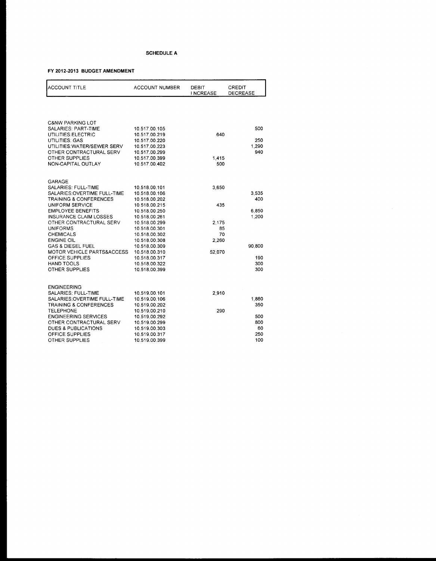| <b>ACCOUNT TITLE</b>                                   | <b>ACCOUNT NUMBER</b>          | DEBIT<br><b>INCREASE</b> | <b>CREDIT</b><br>DECREASE |
|--------------------------------------------------------|--------------------------------|--------------------------|---------------------------|
|                                                        |                                |                          |                           |
| <b>C&amp;NW PARKING LOT</b>                            |                                |                          |                           |
| SALARIES: PART-TIME                                    | 10.517.00.105                  |                          | 500                       |
| UTILITIES:ELECTRIC<br>UTILITIES: GAS                   | 10.517.00.219<br>10.517.00.220 | 640                      | 250                       |
| UTILITIES: WATER/SEWER SERV                            | 10.517.00.223                  |                          | 1,290                     |
| OTHER CONTRACTURAL SERV                                | 10.517.00.299                  |                          | 940                       |
| OTHER SUPPLIES                                         | 10.517.00.399                  | 1,415                    |                           |
| NON-CAPITAL OUTLAY                                     | 10.517.00.402                  | 500                      |                           |
|                                                        |                                |                          |                           |
| GARAGE                                                 |                                |                          |                           |
| SALARIES: FULL-TIME                                    | 10.518.00.101                  | 3,650                    |                           |
| SALARIES: OVERTIME FULL-TIME<br>TRAINING & CONFERENCES | 10.518.00.106<br>10.518.00.202 |                          | 3,535<br>400              |
| UNIFORM SERVICE                                        | 10.518.00.215                  | 435                      |                           |
| <b>EMPLOYEE BENEFITS</b>                               | 10.518.00.250                  |                          | 6,850                     |
| <b>INSURANCE CLAIM LOSSES</b>                          | 10.518.00.261                  |                          | 1,200                     |
| OTHER CONTRACTURAL SERV                                | 10.518.00.299                  | 2.175                    |                           |
| <b>UNIFORMS</b>                                        | 10.518.00.301                  | 85                       |                           |
| CHEMICALS                                              | 10.518.00.302                  | 70                       |                           |
| <b>ENGINE OIL</b>                                      | 10.518.00.308                  | 2,260                    |                           |
| <b>GAS &amp; DIESEL FUEL</b>                           | 10.518.00.309                  |                          | 90,800                    |
| MOTOR VEHICLE PARTS&ACCESS                             | 10.518.00.310                  | 52,070                   |                           |
| OFFICE SUPPLIES                                        | 10.518.00.317                  |                          | 190                       |
| HAND TOOLS                                             | 10.518.00.322                  |                          | 300                       |
| <b>OTHER SUPPLIES</b>                                  | 10.518.00.399                  |                          | 300                       |
| <b>ENGINEERING</b>                                     |                                |                          |                           |
| SALARIES: FULL-TIME                                    | 10.519.00.101                  | 2,910                    |                           |
| SALARIES: OVERTIME FULL-TIME                           | 10.519.00.106                  |                          | 1,880                     |
| <b>TRAINING &amp; CONFERENCES</b>                      | 10.519.00.202                  |                          | 350                       |
| <b>TELEPHONE</b>                                       | 10.519.00.210                  | 290                      |                           |
| <b>ENGINEERING SERVICES</b>                            | 10.519.00.292                  |                          | 500                       |
| OTHER CONTRACTURAL SERV                                | 10.519.00.299                  |                          | 800                       |
| <b>DUES &amp; PUBLICATIONS</b>                         | 10.519.00.303                  |                          | 60                        |
| OFFICE SUPPLIES                                        | 10.519.00.317                  |                          | 250                       |
| OTHER SUPPLIES                                         | 10.519.00.399                  |                          | 100                       |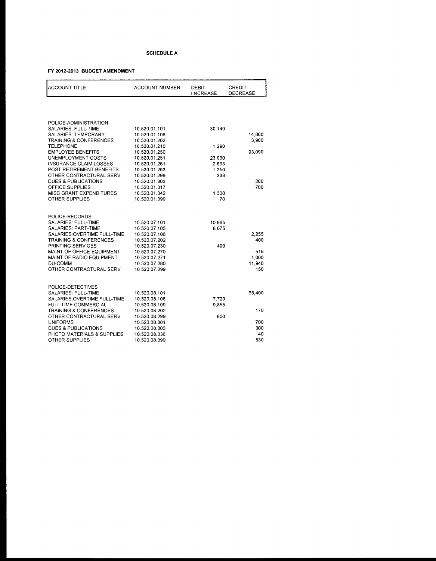| <b>ACCOUNT TITLE</b>                                              | <b>ACCOUNT NUMBER</b>          | <b>DEBIT</b><br><b>INCREASE</b> | CREDIT<br><b>DECREASE</b> |
|-------------------------------------------------------------------|--------------------------------|---------------------------------|---------------------------|
|                                                                   |                                |                                 |                           |
| POLICE-ADMINISTRATION                                             |                                |                                 |                           |
| <b>SALARIES: FULL-TIME</b>                                        | 10.520.01.101                  | 30,140                          |                           |
| <b>SALARIES: TEMPORARY</b>                                        | 10.520.01.108                  |                                 | 14,800                    |
| <b>TRAINING &amp; CONFERENCES</b>                                 | 10.520.01.202                  |                                 | 3,900                     |
| <b>TELEPHONE</b>                                                  | 10.520.01.210                  | 1.290                           |                           |
| <b>EMPLOYEE BENEFITS</b>                                          | 10.520.01.250                  |                                 | 93,090                    |
| UNEMPLOYMENT COSTS<br>INSURANCE CLAIM LOSSES                      | 10.520.01.251<br>10.520.01.261 | 23,030                          |                           |
| POST RETIREMENT BENEFITS                                          | 10.520.01.263                  | 2,695<br>1,250                  |                           |
| OTHER CONTRACTURAL SERV                                           | 10.520.01.299                  | 238                             |                           |
| <b>DUES &amp; PUBLICATIONS</b>                                    | 10.520.01.303                  |                                 | 200                       |
| OFFICE SUPPLIES                                                   | 10.520.01.317                  |                                 | 700                       |
| <b>MISC GRANT EXPENDITURES</b>                                    | 10.520.01.342                  | 1,330                           |                           |
| <b>OTHER SUPPLIES</b>                                             | 10.520.01.399                  | 70                              |                           |
|                                                                   |                                |                                 |                           |
|                                                                   |                                |                                 |                           |
| POLICE-RECORDS                                                    |                                |                                 |                           |
| SALARIES: FULL-TIME                                               | 10.520.07.101                  | 10,665                          |                           |
| SALARIES: PART-TIME                                               | 10.520.07.105                  | 8,075                           |                           |
| SALARIES: OVERTIME FULL-TIME<br><b>TRAINING &amp; CONFERENCES</b> | 10.520.07.106<br>10.520.07.202 |                                 | 2.255<br>400              |
| PRINTING SERVICES                                                 | 10.520.07.230                  | 490                             |                           |
| MAINT OF OFFICE EQUIPMENT                                         | 10.520.07.270                  |                                 | 515                       |
| MAINT OF RADIO EQUIPMENT                                          | 10.520.07.271                  |                                 | 1,000                     |
| DU-COMM                                                           | 10.520.07.280                  |                                 | 11,940                    |
| OTHER CONTRACTURAL SERV                                           | 10.520.07.299                  |                                 | 150                       |
|                                                                   |                                |                                 |                           |
| POLICE-DETECTIVES                                                 |                                |                                 |                           |
| SALARIES: FULL-TIME                                               | 10.520.08.101                  |                                 | 68,400                    |
| SALARIES: OVERTIME FULL-TIME                                      | 10.520.08.106                  | 7,720                           |                           |
| FULL TIME COMMERCIAL                                              | 10.520.08.109                  | 9,855                           |                           |
| <b>TRAINING &amp; CONFERENCES</b>                                 | 10.520.08.202                  |                                 | 170                       |
| OTHER CONTRACTURAL SERV                                           | 10.520.08.299                  | 600                             |                           |
| <b>UNIFORMS</b>                                                   | 10.520.08.301                  |                                 | 700                       |
| DUES & PUBLICATIONS                                               | 10.520.08.303                  |                                 | 300                       |
| PHOTO MATERIALS & SUPPLIES                                        | 10.520.08.336                  |                                 | 40                        |
| OTHER SUPPLIES                                                    | 10.520.08.399                  |                                 | 530                       |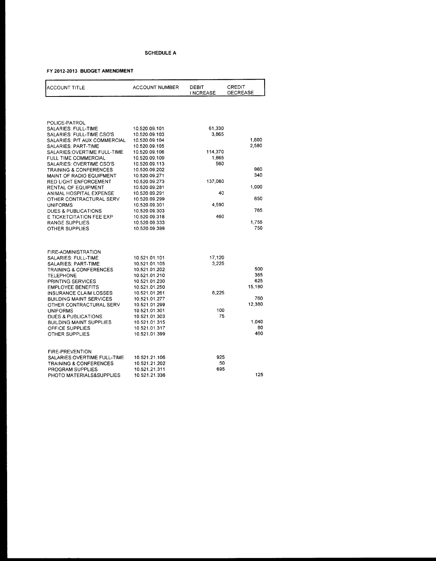| <b>ACCOUNT TITLE</b>              | <b>ACCOUNT NUMBER</b> | DEBIT<br><b>INCREASE</b> | CREDIT<br>DECREASE |
|-----------------------------------|-----------------------|--------------------------|--------------------|
|                                   |                       |                          |                    |
| POLICE-PATROL                     |                       |                          |                    |
| SALARIES: FULL-TIME               | 10.520.09.101         | 61,330                   |                    |
| SALARIES: FULL-TIME CSO'S         | 10.520.09.103         | 3,865                    |                    |
| SALARIES: P/T AUX COMMERCIAL      | 10.520.09.104         |                          | 1,600              |
| SALARIES: PART-TIME               | 10.520.09.105         |                          | 2,580              |
| SALARIES:OVERTIME FULL-TIME       | 10.520.09.106         | 114,370                  |                    |
| FULL TIME COMMERCIAL              | 10.520.09.109         | 1,865                    |                    |
| SALARIES: OVERTIME CSO'S          | 10.520.09.113         | 560                      |                    |
| <b>TRAINING &amp; CONFERENCES</b> | 10.520.09.202         |                          | 960                |
| MAINT OF RADIO EQUIPMENT          | 10.520.09.271         |                          | 340                |
| RED LIGHT ENFORCEMENT             | 10.520.09.273         | 137,060                  |                    |
| RENTAL OF EQUIPMENT               | 10.520.09.281         |                          | 1,000              |
| ANIMAL HOSPITAL EXPENSE           | 10.520.09.291         | 40                       |                    |
| OTHER CONTRACTURAL SERV           | 10.520.09.299         |                          | 650                |
| <b>UNIFORMS</b>                   | 10.520.09.301         | 4,590                    |                    |
| DUES & PUBLICATIONS               | 10.520.09.303         |                          | 765                |
| E TICKETCITATION FEE EXP          | 10.520.09.318         | 460                      |                    |
| <b>RANGE SUPPLIES</b>             | 10.520.09.333         |                          | 1,755              |
| <b>OTHER SUPPLIES</b>             | 10.520.09.399         |                          | 750                |
|                                   |                       |                          |                    |
| FIRE-ADMINISTRATION               |                       |                          |                    |
| SALARIES: FULL-TIME               | 10.521.01.101         | 17,120                   |                    |
| <b>SALARIES: PART-TIME</b>        | 10.521.01.105         | 3.225                    |                    |
| <b>TRAINING &amp; CONFERENCES</b> | 10.521.01.202         |                          | 500                |
| <b>TELEPHONE</b>                  | 10.521.01.210         |                          | 365                |
| PRINTING SERVICES                 | 10.521.01.230         |                          | 625                |
| <b>EMPLOYEE BENEFITS</b>          | 10.521.01.250         |                          | 15,180             |
| INSURANCE CLAIM LOSSES            | 10.521.01.261         | 6,225                    |                    |
| <b>BUILDING MAINT SERVICES</b>    | 10.521.01.277         |                          | 760                |
| OTHER CONTRACTURAL SERV           | 10.521.01.299         |                          | 12,380             |
| UNIFORMS                          | 10.521.01.301         | 100                      |                    |
| <b>DUES &amp; PUBLICATIONS</b>    | 10.521.01.303         | 75                       |                    |
| BUILDING MAINT SUPPLIES           | 10.521.01.315         |                          | 1,040              |
| OFFICE SUPPLIES                   | 10.521.01.317         |                          | 80                 |
| OTHER SUPPLIES                    | 10.521.01.399         |                          | 460                |
| <b>FIRE-PREVENTION</b>            |                       |                          |                    |
| SALARIES: OVERTIME FULL-TIME      | 10.521.21.106         | 925                      |                    |
| <b>TRAINING &amp; CONFERENCES</b> | 10.521.21.202         | 50                       |                    |
| PROGRAM SUPPLIES                  | 10.521.21.311         | 695                      |                    |
|                                   | 10.521.21.336         |                          | 125                |
| PHOTO MATERIALS&SUPPLIES          |                       |                          |                    |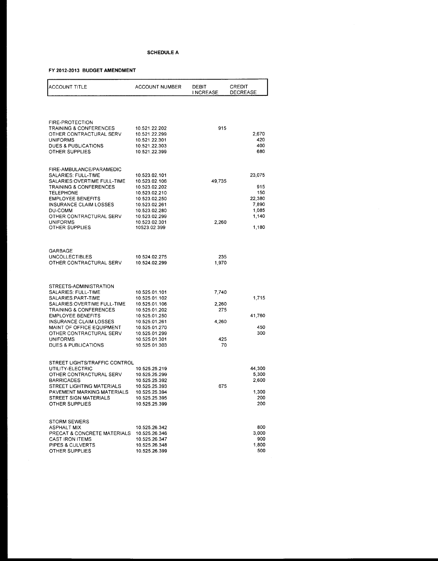| <b>ACCOUNT TITLE</b>                                        | <b>ACCOUNT NUMBER</b>          | <b>DEBIT</b><br>I NCREASE | CREDIT<br>DECREASE |
|-------------------------------------------------------------|--------------------------------|---------------------------|--------------------|
|                                                             |                                |                           |                    |
| <b>FIRE-PROTECTION</b><br><b>TRAINING &amp; CONFERENCES</b> | 10.521.22.202                  | 915                       |                    |
| OTHER CONTRACTURAL SERV                                     | 10.521.22.299                  |                           | 2,670              |
| <b>UNIFORMS</b>                                             | 10.521.22.301                  |                           | 420                |
| DUES & PUBLICATIONS                                         | 10.521.22.303                  |                           | 400                |
| <b>OTHER SUPPLIES</b>                                       | 10.521.22.399                  |                           | 680                |
| FIRE-AMBULANCE/PARAMEDIC                                    |                                |                           |                    |
| SALARIES: FULL-TIME                                         | 10.523.02.101                  |                           | 23,075             |
| SALARIES: OVERTIME FULL-TIME<br>TRAINING & CONFERENCES      | 10.523.02.106<br>10.523.02.202 | 49,735                    | 915                |
| <b>TELEPHONE</b>                                            | 10.523.02.210                  |                           | 150                |
| <b>EMPLOYEE BENEFITS</b>                                    | 10.523.02.250                  |                           | 22,380             |
| <b>INSURANCE CLAIM LOSSES</b>                               | 10.523.02.261                  |                           | 7,890              |
| DU-COMM<br>OTHER CONTRACTURAL SERV                          | 10.523.02.280<br>10.523.02.299 |                           | 1,085<br>1,140     |
| <b>UNIFORMS</b>                                             | 10.523.02.301                  | 2,260                     |                    |
| OTHER SUPPLIES                                              | 10523.02.399                   |                           | 1,180              |
|                                                             |                                |                           |                    |
| GARBAGE                                                     |                                |                           |                    |
| <b>UNCOLLECTIBLES</b>                                       | 10.524.02.275                  | 235                       |                    |
| OTHER CONTRACTURAL SERV                                     | 10.524.02.299                  | 1,970                     |                    |
| STREETS-ADMINISTRATION                                      |                                |                           |                    |
| SALARIES: FULL-TIME                                         | 10.525.01.101                  | 7,740                     |                    |
| SALARIES: PART-TIME                                         | 10.525.01.102                  |                           | 1,715              |
| SALARIES: OVERTIME FULL-TIME                                | 10.525.01.106                  | 2,260                     |                    |
| <b>TRAINING &amp; CONFERENCES</b>                           | 10.525.01.202                  | 275                       |                    |
| <b>EMPLOYEE BENEFITS</b><br>INSURANCE CLAIM LOSSES          | 10.525.01.250<br>10.525.01.261 | 4,260                     | 41,760             |
| MAINT OF OFFICE EQUIPMENT                                   | 10.525.01.270                  |                           | 450                |
| OTHER CONTRACTURAL SERV                                     | 10.525.01.299                  |                           | 300                |
| <b>UNIFORMS</b>                                             | 10.525.01.301                  | 425                       |                    |
| DUES & PUBLICATIONS                                         | 10.525.01.303                  | 70                        |                    |
| STREET LIGHTS/TRAFFIC CONTROL                               |                                |                           |                    |
| UTILITY-ELECTRIC<br>OTHER CONTRACTURAL SERV                 | 10.525.25.219<br>10.525.25.299 |                           | 44,300<br>5,300    |
| <b>BARRICADES</b>                                           | 10.525.25.392                  |                           | 2,600              |
| STREET LIGHTING MATERIALS                                   | 10.525.25.393                  | 675                       |                    |
| PAVEMENT MARKING MATERIALS                                  | 10.525.25.394                  |                           | 1,300              |
| STREET SIGN MATERIALS<br>OTHER SUPPLIES                     | 10.525.25.395<br>10.525.25.399 |                           | 200<br>200         |
|                                                             |                                |                           |                    |
| <b>STORM SEWERS</b><br><b>ASPHALT MIX</b>                   | 10.525.26.342                  |                           | 800                |
| PRECAT & CONCRETE MATERIALS                                 | 10.525.26.346                  |                           | 3,000              |
| CAST IRON ITEMS                                             | 10.525.26.347                  |                           | 900                |
| PIPES & CULVERTS                                            | 10.525.26.348                  |                           | 1,800              |
| OTHER SUPPLIES                                              | 10.525.26.399                  |                           | 500                |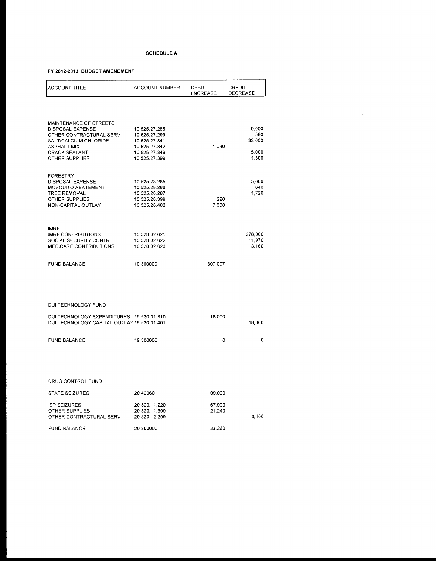#### **FY 2012-2013 BUDGET AMENDMENT**

| <b>ACCOUNT TITLE</b>                        | <b>ACCOUNT NUMBER</b>          | DEBIT<br>I NCREASE | CREDIT<br><b>DECREASE</b> |
|---------------------------------------------|--------------------------------|--------------------|---------------------------|
|                                             |                                |                    |                           |
| MAINTENANCE OF STREETS                      |                                |                    |                           |
| DISPOSAL EXPENSE                            | 10.525.27.285                  |                    | 9,000                     |
| OTHER CONTRACTURAL SERV                     | 10.525.27.299                  |                    | 580                       |
| SALT/CALCIUM CHLORIDE                       | 10.525.27.341                  |                    | 33,000                    |
| <b>ASPHALT MIX</b>                          | 10.525.27.342                  | 1.080              | 5,000                     |
| <b>CRACK SEALANT</b><br>OTHER SUPPLIES      | 10.525.27.349<br>10.525.27.399 |                    | 1,300                     |
|                                             |                                |                    |                           |
| <b>FORESTRY</b>                             |                                |                    |                           |
| DISPOSAL EXPENSE                            | 10.525.28.285                  |                    | 5,000                     |
| <b>MOSQUITO ABATEMENT</b>                   | 10.525.28.286                  |                    | 640                       |
| <b>TREE REMOVAL</b>                         | 10.525.28.287                  |                    | 1,720                     |
| <b>OTHER SUPPLIES</b>                       | 10.525.28.399                  | 220                |                           |
| NON-CAPITAL OUTLAY                          | 10.525.28.402                  | 7.600              |                           |
|                                             |                                |                    |                           |
| <b>IMRF</b><br><b>IMRF CONTRIBUTIONS</b>    | 10.528.02.621                  |                    | 278,000                   |
| SOCIAL SECURITY CONTR                       | 10.528.02.622                  |                    | 11,970                    |
| <b>MEDICARE CONTRIBUTIONS</b>               | 10.528.02.623                  |                    | 3,160                     |
| <b>FUND BALANCE</b>                         | 10.300000                      | 307,097            |                           |
|                                             |                                |                    |                           |
|                                             |                                |                    |                           |
|                                             |                                |                    |                           |
| DUI TECHNOLOGY FUND                         |                                |                    |                           |
|                                             |                                |                    |                           |
| DUI TECHNOLOGY EXPENDITURES 19.520.01.310   |                                | 18,000             |                           |
| DUI TECHNOLOGY CAPITAL OUTLAY 19,520.01.401 |                                |                    | 18,000                    |
| <b>FUND BALANCE</b>                         | 19.300000                      | 0                  | 0                         |
|                                             |                                |                    |                           |

#### DRUG CONTROL FUND

| STATE SEIZURES                                                          | 20.42060                                        | 109.000          |       |
|-------------------------------------------------------------------------|-------------------------------------------------|------------------|-------|
| <b>ISP SEIZURES</b><br><b>OTHER SUPPLIES</b><br>OTHER CONTRACTURAL SERV | 20.520.11.220<br>20.520.11.399<br>20.520.12.299 | 67,900<br>21.240 | 3.400 |
| <b>FUND BALANCE</b>                                                     | 20.300000                                       | 23.260           |       |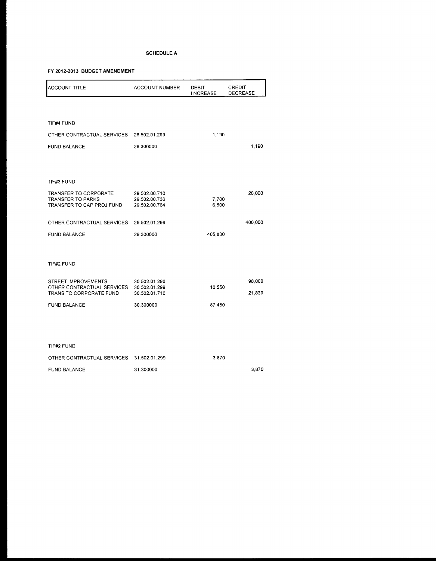#### **FY 2012-2013 BUDGET AMENDMENT**

| <b>ACCOUNT TITLE</b>                                  | <b>ACCOUNT NUMBER</b>          | <b>DEBIT</b><br><b>INCREASE</b> | CREDIT<br><b>DECREASE</b> |
|-------------------------------------------------------|--------------------------------|---------------------------------|---------------------------|
|                                                       |                                |                                 |                           |
| TIF#4 FUND                                            |                                |                                 |                           |
| OTHER CONTRACTUAL SERVICES                            | 28.502.01.299                  | 1,190                           |                           |
| <b>FUND BALANCE</b>                                   | 28,300000                      |                                 | 1,190                     |
|                                                       |                                |                                 |                           |
|                                                       |                                |                                 |                           |
| TIF#3 FUND                                            |                                |                                 |                           |
| TRANSFER TO CORPORATE<br><b>TRANSFER TO PARKS</b>     | 29.502.00.710<br>29.502.00.736 |                                 | 20,000                    |
| TRANSFER TO CAP PROJ FUND                             | 29.502.00.764                  | 7,700<br>6,500                  |                           |
| OTHER CONTRACTUAL SERVICES                            | 29.502.01.299                  |                                 | 400,000                   |
| <b>FUND BALANCE</b>                                   | 29.300000                      | 405,800                         |                           |
|                                                       |                                |                                 |                           |
|                                                       |                                |                                 |                           |
| TIF#2 FUND                                            |                                |                                 |                           |
| STREET IMPROVEMENTS                                   | 30.502.01.290                  |                                 | 98,000                    |
| OTHER CONTRACTUAL SERVICES<br>TRANS TO CORPORATE FUND | 30.502.01.299<br>30.502.01.710 | 10,550                          | 21,830                    |
| <b>FUND BALANCE</b>                                   | 30.300000                      | 87,450                          |                           |
|                                                       |                                |                                 |                           |
|                                                       |                                |                                 |                           |

#### TIF#2 FUND

| OTHER CONTRACTUAL SERVICES 31.502.01.299 |           | 3.870 |       |
|------------------------------------------|-----------|-------|-------|
| <b>FUND BALANCE</b>                      | 31.300000 |       | 3.870 |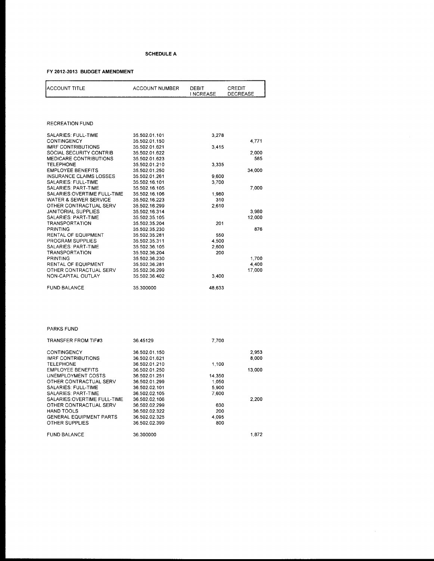## **FY 2012-2013 BUDGET AMENDMENT**

| <b>ACCOUNT TITLE</b>           | <b>ACCOUNT NUMBER</b> | DEBIT<br>I NCREASE | CREDIT<br><b>DECREASE</b> |
|--------------------------------|-----------------------|--------------------|---------------------------|
|                                |                       |                    |                           |
| <b>RECREATION FUND</b>         |                       |                    |                           |
| SALARIES: FULL-TIME            | 35.502.01.101         | 3.278              |                           |
| <b>CONTINGENCY</b>             | 35.502.01.150         |                    | 4,771                     |
| <b>IMRF CONTRIBUTIONS</b>      | 35.502.01.621         | 3415               |                           |
| SOCIAL SECURITY CONTRIB        | 35.502.01.622         |                    | 2,000                     |
| <b>MEDICARE CONTRIBUTIONS</b>  | 35.502.01.623         |                    | 585                       |
| <b>TELEPHONE</b>               | 35.502.01.210         | 3,335              |                           |
| <b>EMPLOYEE BENEFITS</b>       | 35.502.01.250         |                    | 34,000                    |
| <b>INSURANCE CLAIMS LOSSES</b> | 35.502.01.261         | 9,600              |                           |
| SALARIES: FULL-TIME            | 35.502.16.101         | 3,700              |                           |
| <b>SALARIES: PART-TIME</b>     | 35.502.16.105         |                    | 7.000                     |
| SALARIES: OVERTIME FULL-TIME   | 35.502.16.106         | 1,980              |                           |
| WATER & SEWER SERVICE          | 35.502.16.223         | 310                |                           |
| OTHER CONTRACTUAL SERV         | 35.502.16.299         | 2,610              |                           |
| <b>JANITORIAL SUPPLIES</b>     | 35.502.16.314         |                    | 3.980                     |
| SALARIES: PART-TIME            | 35.502.35.105         |                    | 12,000                    |
| <b>TRANSPORTATION</b>          | 35.502.35.204         | 201                |                           |
| <b>PRINTING</b>                | 35.502.35.230         |                    | 876                       |
| <b>RENTAL OF EQUIPMENT</b>     | 35.502.35.281         | 550                |                           |
| PROGRAM SUPPLIES               | 35.502.35.311         | 4,500              |                           |
| SALARIES: PART-TIME            | 35.502.36.105         | 2,600              |                           |
| <b>TRANSPORTATION</b>          | 35.502.36.204         | 200                |                           |
| <b>PRINTING</b>                | 35.502.36.230         |                    | 1.700                     |
| RENTAL OF EQUIPMENT            | 35.502.36.281         |                    | 4,400                     |
| OTHER CONTRACTUAL SERV         | 35.502.36.299         |                    | 17,000                    |
| NON-CAPITAL OUTLAY             | 35.502.36.402         | 3,400              |                           |
| <b>FUND BALANCE</b>            | 35.300000             | 48,633             |                           |

#### PARKS FUND

| <b>TRANSFER FROM TIF#3</b>     | 36.45129      | 7.700  |        |
|--------------------------------|---------------|--------|--------|
| CONTINGENCY                    | 36.502.01.150 |        | 2.953  |
| IMRE CONTRIBUTIONS             | 36.502.01.621 |        | 8.000  |
| <b>TELEPHONE</b>               | 36.502.01.210 | 1,100  |        |
| <b>EMPLOYEE BENEFITS</b>       | 36.502.01.250 |        | 13,000 |
| UNEMPLOYMENT COSTS             | 36.502.01.251 | 14,350 |        |
| OTHER CONTRACTUAL SERV         | 36.502.01.299 | 1,050  |        |
| SALARIES: FULL-TIME            | 36.502.02.101 | 5,900  |        |
| SALARIES: PART-TIME            | 36.502.02.105 | 7.600  |        |
| SALARIES: OVERTIME FULL-TIME   | 36.502.02.106 |        | 2,200  |
| OTHER CONTRACTUAL SERV         | 36.502.02.299 | 630    |        |
| HAND TOOLS                     | 36.502.02.322 | 200    |        |
| <b>GENERAL EQUIPMENT PARTS</b> | 36.502.02.325 | 4.095  |        |
| <b>OTHER SUPPLIES</b>          | 36.502.02.399 | 800    |        |
| <b>FUND BALANCE</b>            | 36.300000     |        | 1,872  |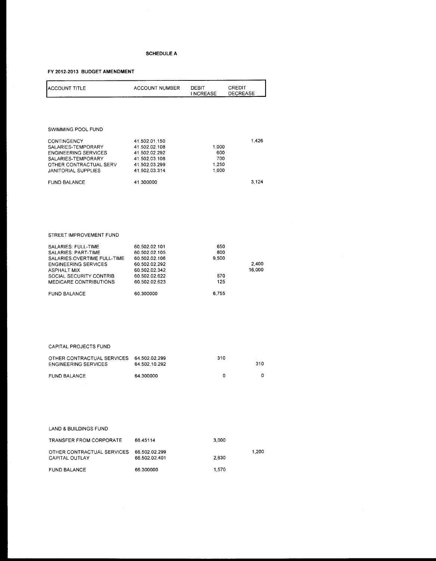## **FY 2012-2013 BUDGET AMENDMENT**

| <b>ACCOUNT TITLE</b>                                                                                                                           | <b>ACCOUNT NUMBER</b>                                                                              | DEBIT<br><b>INCREASE</b>              | CREDIT<br><b>DECREASE</b> |
|------------------------------------------------------------------------------------------------------------------------------------------------|----------------------------------------------------------------------------------------------------|---------------------------------------|---------------------------|
|                                                                                                                                                |                                                                                                    |                                       |                           |
| SWIMMING POOL FUND                                                                                                                             |                                                                                                    |                                       |                           |
| CONTINGENCY<br>SALARIES-TEMPORARY<br><b>ENGINEERING SERVICES</b><br>SALARIES-TEMPORARY<br>OTHER CONTRACTUAL SERV<br><b>JANITORIAL SUPPLIES</b> | 41.502.01.150<br>41.502.02.108<br>41.502.02.292<br>41.502.03.108<br>41.502.03.299<br>41.502.03.314 | 1,000<br>600<br>700<br>1,250<br>1,000 | 1,426                     |
| <b>FUND BALANCE</b>                                                                                                                            | 41.300000                                                                                          |                                       | 3,124                     |
| STREET IMPROVEMENT FUND                                                                                                                        |                                                                                                    |                                       |                           |
| SALARIES: FULL-TIME<br><b>SALARIES: PART-TIME</b><br>SALARIES: OVERTIME FULL-TIME<br><b>ENGINEERING SERVICES</b>                               | 60.502.02.101<br>60.502.02.105<br>60.502.02.106<br>60.502.02.292                                   | 650<br>800<br>9,500                   | 2,400                     |
| <b>ASPHALT MIX</b><br>SOCIAL SECURITY CONTRIB<br>MEDICARE CONTRIBUTIONS                                                                        | 60.502.02.342<br>60.502.02.622<br>60.502.02.623                                                    | 570<br>125                            | 16,000                    |
| <b>FUND BALANCE</b>                                                                                                                            | 60.300000                                                                                          | 6,755                                 |                           |

#### CAPITAL PROJECTS FUND

| OTHER CONTRACTUAL SERVICES 64.502.02.299<br><b>ENGINEERING SERVICES</b> | 64.502.10.292 | 310 | -310 |
|-------------------------------------------------------------------------|---------------|-----|------|
| FUND BALANCE                                                            | 64.300000     | n   |      |

#### LAND & BUILDINGS FUND

| <b>TRANSFER FROM CORPORATE</b>               | 66 45114                       | 3.000 |       |
|----------------------------------------------|--------------------------------|-------|-------|
| OTHER CONTRACTUAL SERVICES<br>CAPITAL OUTLAY | 66.502.02.299<br>66 502 02 401 | 2.630 | 1.200 |
| <b>FUND BALANCE</b>                          | 66.300000                      | 1.570 |       |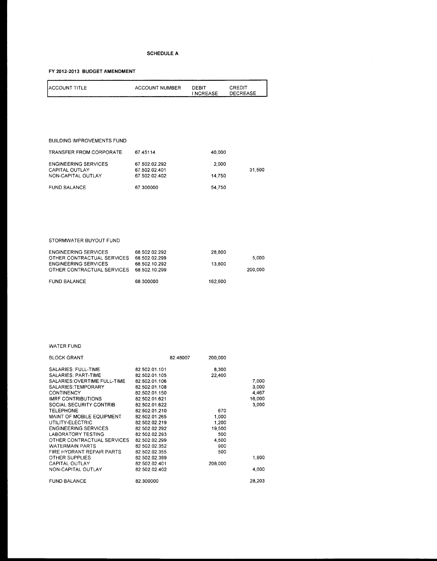## **FY 2012-2013 BUDGET AMENDMENT**

| <b>IACCOUNT TITLE</b> | ACCOUNT NUMBER | ------<br>DEBIT | CREDIT          |
|-----------------------|----------------|-----------------|-----------------|
|                       |                | I NCREASE       | <b>DECREASE</b> |
|                       |                |                 |                 |

#### BUILDING IMPROVEMENTS FUND

| TRANSFER FROM CORPORATE     | 67.45114      | 40.000 |        |
|-----------------------------|---------------|--------|--------|
| <b>ENGINEERING SERVICES</b> | 67.502.02.292 | 2.000  |        |
| CAPITAL OUTLAY              | 67.502.02.401 |        | 31,500 |
| NON-CAPITAL OUTLAY          | 67.502.02.402 | 14.750 |        |
| FUND BALANCE                | 67.300000     | 54.750 |        |

#### STORMWATER BUYOUT FUND

| <b>ENGINEERING SERVICES</b><br>OTHER CONTRACTUAL SERVICES<br><b>ENGINEERING SERVICES</b><br>OTHER CONTRACTUAL SERVICES | 68 502 02 292<br>68.502.02.299<br>68.502.10.292<br>68.502.10.299 | 28,800<br>13,600 | 5.000<br>200.000 |
|------------------------------------------------------------------------------------------------------------------------|------------------------------------------------------------------|------------------|------------------|
| <b>FUND BALANCE</b>                                                                                                    | 68.300000                                                        | 162.600          |                  |

#### WATER FUND

| <b>BLOCK GRANT</b>           |               | 82.48007 | 200,000 |        |
|------------------------------|---------------|----------|---------|--------|
| SALARIES: FULL-TIME          | 82.502.01.101 |          | 8,300   |        |
| SALARIES: PART-TIME          | 82.502.01.105 |          | 22,400  |        |
| SALARIES: OVERTIME FULL-TIME | 82.502.01.106 |          |         | 7,000  |
| SALARIES:TEMPORARY           | 82.502.01.108 |          |         | 3,000  |
| <b>CONTINENCY</b>            | 82.502.01.150 |          |         | 4.467  |
| IMRF CONTRIBUTIONS           | 82.502.01.621 |          |         | 16,000 |
| SOCIAL SECURITY CONTRIB      | 82.502.01.622 |          |         | 3,000  |
| <b>TELEPHONE</b>             | 82.502.01.210 |          | 670     |        |
| MAINT OF MOBILE EQUIPMENT    | 82.502.01.265 |          | 1,000   |        |
| UTILITY-ELECTRIC             | 82.502.02.219 |          | 1,200   |        |
| <b>ENGINEERING SERVICES</b>  | 82.502.02.292 |          | 19,500  |        |
| <b>LABORATORY TESTING</b>    | 82.502.02.293 |          | 500     |        |
| OTHER CONTRACTUAL SERVICES   | 82.502.02.299 |          | 4,500   |        |
| <b>WATERMAIN PARTS</b>       | 82.502.02.352 |          | 900     |        |
| FIRE HYDRANT REPAIR PARTS    | 82.502.02.355 |          | 500     |        |
| OTHER SUPPLIES               | 82.502.02.399 |          |         | 1,800  |
| CAPITAL OUTLAY               | 82.502.02.401 |          | 208,000 |        |
| NON-CAPITAL OUTLAY           | 82.502.02.402 |          |         | 4.000  |
| <b>FUND BALANCE</b>          | 82.300000     |          |         | 28,203 |